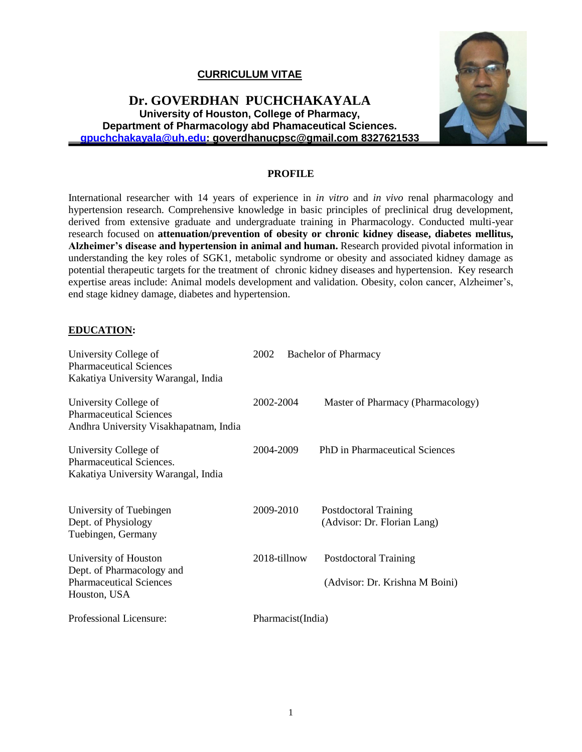## **CURRICULUM VITAE**

## **Dr. GOVERDHAN PUCHCHAKAYALA University of Houston, College of Pharmacy, Department of Pharmacology abd Phamaceutical Sciences. [gpuchchakayala@uh.edu:](mailto:gpuchchakayala@uh.edu) goverdhanucpsc@gmail.com 8327621533**



#### **PROFILE**

International researcher with 14 years of experience in *in vitro* and *in vivo* renal pharmacology and hypertension research. Comprehensive knowledge in basic principles of preclinical drug development, derived from extensive graduate and undergraduate training in Pharmacology. Conducted multi-year research focused on **attenuation/prevention of obesity or chronic kidney disease, diabetes mellitus, Alzheimer's disease and hypertension in animal and human.** Research provided pivotal information in understanding the key roles of SGK1, metabolic syndrome or obesity and associated kidney damage as potential therapeutic targets for the treatment of chronic kidney diseases and hypertension. Key research expertise areas include: Animal models development and validation. Obesity, colon cancer, Alzheimer's, end stage kidney damage, diabetes and hypertension.

#### **EDUCATION:**

| University College of<br><b>Pharmaceutical Sciences</b><br>Kakatiya University Warangal, India       | 2002              | <b>Bachelor of Pharmacy</b>                                    |
|------------------------------------------------------------------------------------------------------|-------------------|----------------------------------------------------------------|
| University College of<br><b>Pharmaceutical Sciences</b><br>Andhra University Visakhapatnam, India    | 2002-2004         | Master of Pharmacy (Pharmacology)                              |
| University College of<br>Pharmaceutical Sciences.<br>Kakatiya University Warangal, India             | 2004-2009         | PhD in Pharmaceutical Sciences                                 |
| University of Tuebingen<br>Dept. of Physiology<br>Tuebingen, Germany                                 | 2009-2010         | Postdoctoral Training<br>(Advisor: Dr. Florian Lang)           |
| University of Houston<br>Dept. of Pharmacology and<br><b>Pharmaceutical Sciences</b><br>Houston, USA | 2018-tillnow      | <b>Postdoctoral Training</b><br>(Advisor: Dr. Krishna M Boini) |
| Professional Licensure:                                                                              | Pharmacist(India) |                                                                |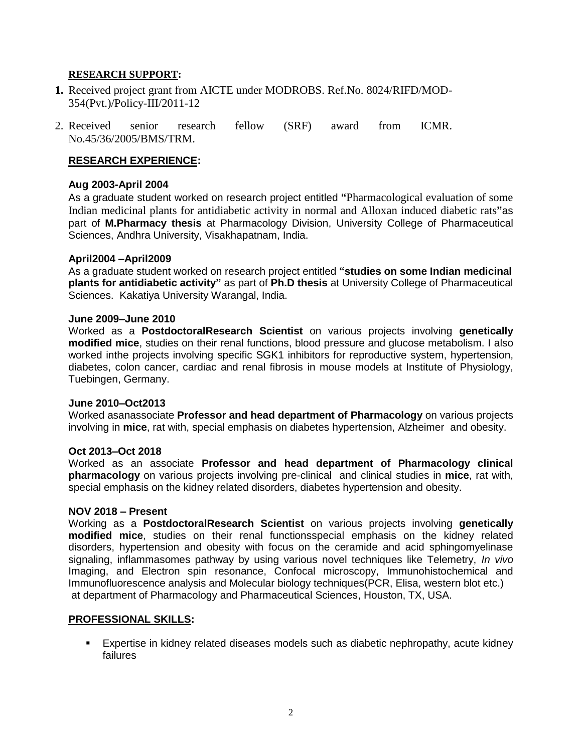### **RESEARCH SUPPORT:**

- **1.** Received project grant from AICTE under MODROBS. Ref.No. 8024/RIFD/MOD-354(Pvt.)/Policy-III/2011-12
- 2. Received senior research fellow (SRF) award from ICMR. No.45/36/2005/BMS/TRM.

## **RESEARCH EXPERIENCE:**

#### **Aug 2003-April 2004**

As a graduate student worked on research project entitled **"**Pharmacological evaluation of some Indian medicinal plants for antidiabetic activity in normal and Alloxan induced diabetic rats**"**as part of **M.Pharmacy thesis** at Pharmacology Division, University College of Pharmaceutical Sciences, Andhra University, Visakhapatnam, India.

#### **April2004 –April2009**

As a graduate student worked on research project entitled **"studies on some Indian medicinal plants for antidiabetic activity"** as part of **Ph.D thesis** at University College of Pharmaceutical Sciences. Kakatiya University Warangal, India.

#### **June 2009–June 2010**

Worked as a **PostdoctoralResearch Scientist** on various projects involving **genetically modified mice**, studies on their renal functions, blood pressure and glucose metabolism. I also worked inthe projects involving specific SGK1 inhibitors for reproductive system, hypertension, diabetes, colon cancer, cardiac and renal fibrosis in mouse models at Institute of Physiology, Tuebingen, Germany.

#### **June 2010–Oct2013**

Worked asanassociate **Professor and head department of Pharmacology** on various projects involving in **mice**, rat with, special emphasis on diabetes hypertension, Alzheimer and obesity.

#### **Oct 2013–Oct 2018**

Worked as an associate **Professor and head department of Pharmacology clinical pharmacology** on various projects involving pre-clinical and clinical studies in **mice**, rat with, special emphasis on the kidney related disorders, diabetes hypertension and obesity.

#### **NOV 2018 – Present**

Working as a **PostdoctoralResearch Scientist** on various projects involving **genetically modified mice**, studies on their renal functionsspecial emphasis on the kidney related disorders, hypertension and obesity with focus on the ceramide and acid sphingomyelinase signaling, inflammasomes pathway by using various novel techniques like Telemetry, *In vivo* Imaging, and Electron spin resonance, Confocal microscopy, Immunohistochemical and Immunofluorescence analysis and Molecular biology techniques(PCR, Elisa, western blot etc.) at department of Pharmacology and Pharmaceutical Sciences, Houston, TX, USA.

#### **PROFESSIONAL SKILLS:**

▪ Expertise in kidney related diseases models such as diabetic nephropathy, acute kidney failures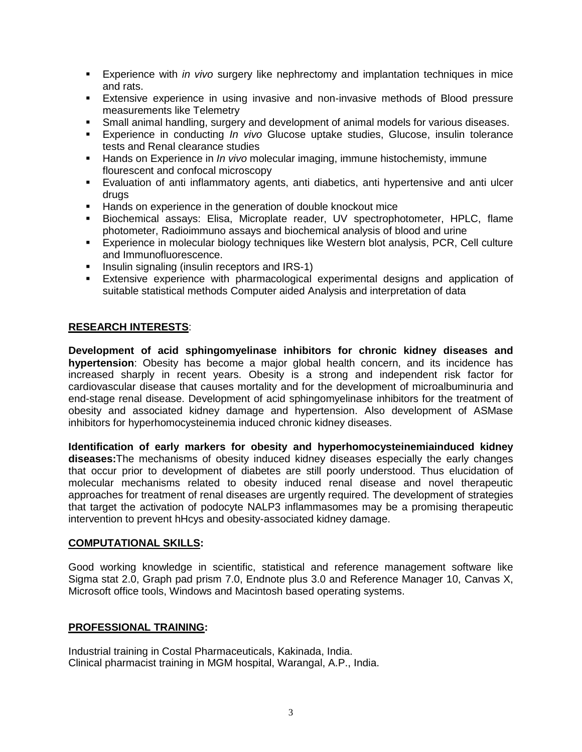- Experience with *in vivo* surgery like nephrectomy and implantation techniques in mice and rats.
- **Extensive experience in using invasive and non-invasive methods of Blood pressure** measurements like Telemetry
- **Small animal handling, surgery and development of animal models for various diseases.**
- Experience in conducting *In vivo* Glucose uptake studies, Glucose, insulin tolerance tests and Renal clearance studies
- **EXT** Hands on Experience in *In vivo* molecular imaging, immune histochemisty, immune flourescent and confocal microscopy
- Evaluation of anti inflammatory agents, anti diabetics, anti hypertensive and anti ulcer drugs
- Hands on experience in the generation of double knockout mice
- Biochemical assays: Elisa, Microplate reader, UV spectrophotometer, HPLC, flame photometer, Radioimmuno assays and biochemical analysis of blood and urine
- Experience in molecular biology techniques like Western blot analysis, PCR, Cell culture and Immunofluorescence.
- **■** Insulin signaling (insulin receptors and IRS-1)
- **Extensive experience with pharmacological experimental designs and application of** suitable statistical methods Computer aided Analysis and interpretation of data

#### **RESEARCH INTERESTS**:

**Development of acid sphingomyelinase inhibitors for chronic kidney diseases and hypertension**: Obesity has become a major global health concern, and its incidence has increased sharply in recent years. Obesity is a strong and independent risk factor for cardiovascular disease that causes mortality and for the development of microalbuminuria and end-stage renal disease. Development of acid sphingomyelinase inhibitors for the treatment of obesity and associated kidney damage and hypertension. Also development of ASMase inhibitors for hyperhomocysteinemia induced chronic kidney diseases.

**Identification of early markers for obesity and hyperhomocysteinemiainduced kidney diseases:**The mechanisms of obesity induced kidney diseases especially the early changes that occur prior to development of diabetes are still poorly understood. Thus elucidation of molecular mechanisms related to obesity induced renal disease and novel therapeutic approaches for treatment of renal diseases are urgently required. The development of strategies that target the activation of podocyte NALP3 inflammasomes may be a promising therapeutic intervention to prevent hHcys and obesity-associated kidney damage.

#### **COMPUTATIONAL SKILLS:**

Good working knowledge in scientific, statistical and reference management software like Sigma stat 2.0, Graph pad prism 7.0, Endnote plus 3.0 and Reference Manager 10, Canvas X, Microsoft office tools, Windows and Macintosh based operating systems.

## **PROFESSIONAL TRAINING:**

Industrial training in Costal Pharmaceuticals, Kakinada, India. Clinical pharmacist training in MGM hospital, Warangal, A.P., India.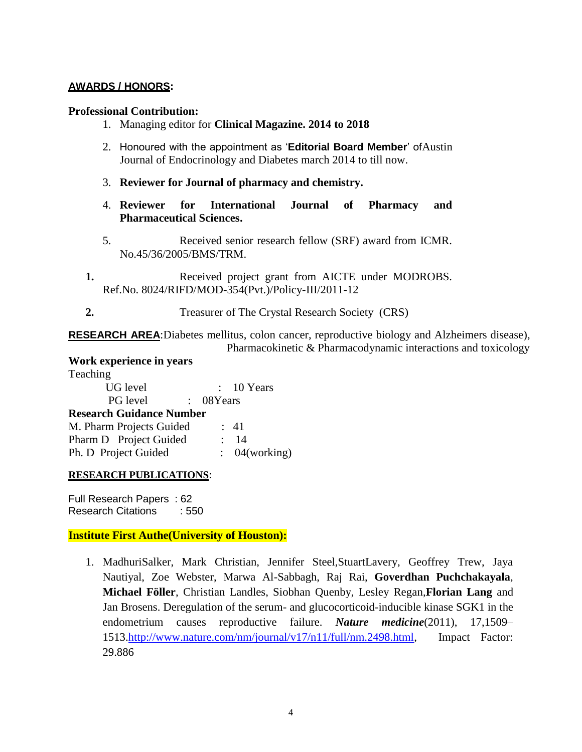## **AWARDS / HONORS:**

#### **Professional Contribution:**

- 1. Managing editor for **Clinical Magazine. 2014 to 2018**
- 2. Honoured with the appointment as '**Editorial Board Member**' ofAustin Journal of Endocrinology and Diabetes march 2014 to till now.
- 3. **Reviewer for Journal of pharmacy and chemistry.**
- 4. **Reviewer for International Journal of Pharmacy and Pharmaceutical Sciences.**
- 5. Received senior research fellow (SRF) award from ICMR. No.45/36/2005/BMS/TRM.
- **1.** Received project grant from AICTE under MODROBS. Ref.No. 8024/RIFD/MOD-354(Pvt.)/Policy-III/2011-12
- **2.** Treasurer of The Crystal Research Society (CRS)

**RESEARCH AREA**:Diabetes mellitus, colon cancer, reproductive biology and Alzheimers disease), Pharmacokinetic & Pharmacodynamic interactions and toxicology

#### **Work experience in years**  T<sub>opo</sub>hing

| $: 10$ Years                     |
|----------------------------------|
| : 08Years                        |
| <b>Research Guidance Number</b>  |
| M. Pharm Projects Guided<br>: 41 |
| 14                               |
| : 04(working)                    |
|                                  |

#### **RESEARCH PUBLICATIONS:**

Full Research Papers : 62 Research Citations : 550

## **Institute First Authe(University of Houston):**

1. MadhuriSalker, Mark Christian, Jennifer Steel,StuartLavery, Geoffrey Trew, Jaya Nautiyal, Zoe Webster, Marwa Al-Sabbagh, Raj Rai, **Goverdhan Puchchakayala**, **Michael Föller**, Christian Landles, Siobhan Quenby, Lesley Regan,**Florian Lang** and Jan Brosens. Deregulation of the serum- and glucocorticoid-inducible kinase SGK1 in the endometrium causes reproductive failure. *Nature medicine*(2011), 17,1509– 1513[.http://www.nature.com/nm/journal/v17/n11/full/nm.2498.html,](http://www.nature.com/nm/journal/v17/n11/full/nm.2498.html) Impact Factor: 29.886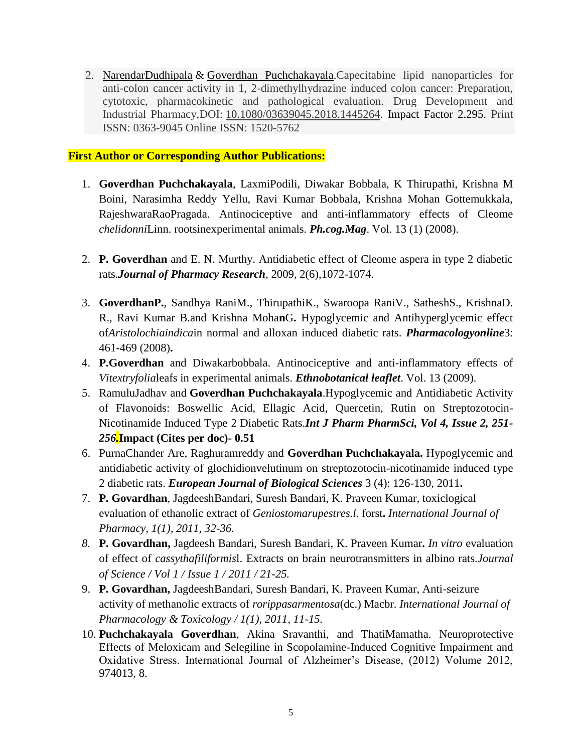2. [NarendarDudhipala](https://www.tandfonline.com/author/Dudhipala%2C+Narendar) & [Goverdhan Puchchakayala.](https://www.tandfonline.com/author/Puchchakayala%2C+Goverdhan)Capecitabine lipid nanoparticles for anti-colon cancer activity in 1, 2-dimethylhydrazine induced colon cancer: Preparation, cytotoxic, pharmacokinetic and pathological evaluation. Drug Development and Industrial Pharmacy,DOI: [10.1080/03639045.2018.1445264.](https://doi.org/10.1080/03639045.2018.1445264) Impact Factor 2.295. Print ISSN: 0363-9045 Online ISSN: 1520-5762

## **First Author or Corresponding Author Publications:**

- 1. **Goverdhan Puchchakayala**, LaxmiPodili, Diwakar Bobbala, K Thirupathi, Krishna M Boini, Narasimha Reddy Yellu, Ravi Kumar Bobbala, Krishna Mohan Gottemukkala, RajeshwaraRaoPragada. Antinociceptive and anti-inflammatory effects of Cleome *chelidonni*Linn. rootsinexperimental animals. *Ph.cog.Mag*. Vol. 13 (1) (2008).
- 2. **P. Goverdhan** and E. N. Murthy. Antidiabetic effect of Cleome aspera in type 2 diabetic rats.*Journal of Pharmacy Research,* 2009, 2(6),1072-1074.
- 3. **GoverdhanP.**, Sandhya RaniM., ThirupathiK., Swaroopa RaniV., SatheshS., KrishnaD. R., Ravi Kumar B.and Krishna Moha**n**G**.** Hypoglycemic and Antihyperglycemic effect of*Aristolochiaindica*in normal and alloxan induced diabetic rats. *Pharmacologyonline*3: 461-469 (2008)**.**
- 4. **P.Goverdhan** and Diwakarbobbala. Antinociceptive and anti-inflammatory effects of *Vitextryfolia*leafs in experimental animals. *Ethnobotanical leaflet*. Vol. 13 (2009).
- 5. RamuluJadhav and **Goverdhan Puchchakayala**.Hypoglycemic and Antidiabetic Activity of Flavonoids: Boswellic Acid, Ellagic Acid, Quercetin, Rutin on Streptozotocin-Nicotinamide Induced Type 2 Diabetic Rats.*Int J Pharm PharmSci, Vol 4, Issue 2, 251- 256.***Impact (Cites per doc)- 0.51**
- 6. PurnaChander Are, Raghuramreddy and **Goverdhan Puchchakayala.** Hypoglycemic and antidiabetic activity of glochidionvelutinum on streptozotocin-nicotinamide induced type 2 diabetic rats. *European Journal of Biological Sciences* 3 (4): 126-130, 2011**.**
- 7. **P. Govardhan**, JagdeeshBandari, Suresh Bandari, K. Praveen Kumar, toxiclogical evaluation of ethanolic extract of *Geniostomarupestres.l.* forst**.** *International Journal of Pharmacy, 1(1), 2011, 32-36.*
- *8.* **P. Govardhan,** Jagdeesh Bandari, Suresh Bandari, K. Praveen Kumar**.** *In vitro* evaluation of effect of *cassythafiliformis*l. Extracts on brain neurotransmitters in albino rats.*Journal of Science / Vol 1 / Issue 1 / 2011 / 21-25.*
- 9. **P. Govardhan,** JagdeeshBandari, Suresh Bandari, K. Praveen Kumar, Anti-seizure activity of methanolic extracts of *rorippasarmentosa*(dc.) Macbr. *International Journal of Pharmacology & Toxicology / 1(1), 2011, 11-15.*
- 10. **Puchchakayala Goverdhan**, Akina Sravanthi, and ThatiMamatha. Neuroprotective Effects of Meloxicam and Selegiline in Scopolamine-Induced Cognitive Impairment and Oxidative Stress. International Journal of Alzheimer's Disease, (2012) Volume 2012, 974013, 8.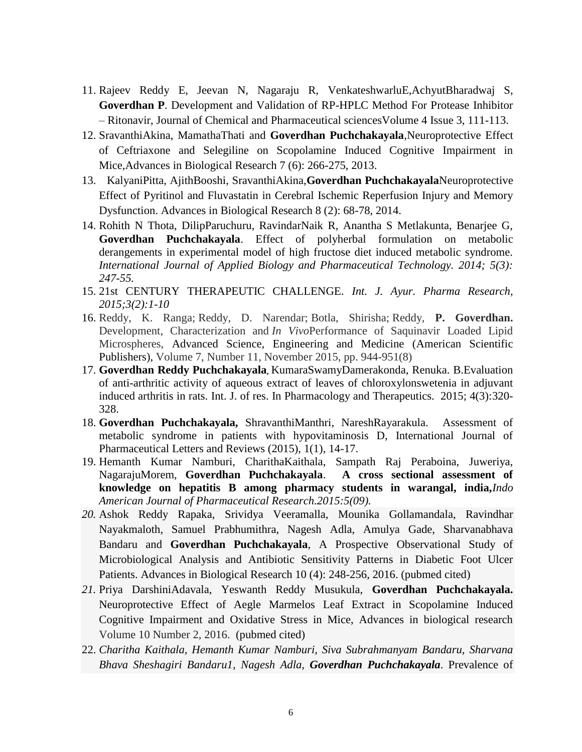- 11. Rajeev Reddy E, Jeevan N, Nagaraju R, VenkateshwarluE,AchyutBharadwaj S, **Goverdhan P**. Development and Validation of RP-HPLC Method For Protease Inhibitor – Ritonavir, Journal of Chemical and Pharmaceutical sciencesVolume 4 Issue 3, 111-113.
- 12. SravanthiAkina, MamathaThati and **Goverdhan Puchchakayala**,Neuroprotective Effect of Ceftriaxone and Selegiline on Scopolamine Induced Cognitive Impairment in Mice,Advances in Biological Research 7 (6): 266-275, 2013.
- 13. KalyaniPitta, AjithBooshi, SravanthiAkina,**Goverdhan Puchchakayala**Neuroprotective Effect of Pyritinol and Fluvastatin in Cerebral Ischemic Reperfusion Injury and Memory Dysfunction. Advances in Biological Research 8 (2): 68-78, 2014.
- 14. Rohith N Thota, DilipParuchuru, RavindarNaik R, Anantha S Metlakunta, Benarjee G, **Goverdhan Puchchakayala**. Effect of polyherbal formulation on metabolic derangements in experimental model of high fructose diet induced metabolic syndrome. *International Journal of Applied Biology and Pharmaceutical Technology. 2014; 5(3): 247-55.*
- 15. 21st CENTURY THERAPEUTIC CHALLENGE. *Int. J. Ayur. Pharma Research, 2015;3(2):1-10*
- 16. Reddy, K. Ranga; Reddy, D. Narendar; Botla, Shirisha; Reddy, **P. Goverdhan.** Development, Characterization and *In Vivo*Performance of Saquinavir Loaded Lipid Microspheres, [Advanced Science, Engineering and Medicine](http://www.ingentaconnect.com/content/asp/asem;jsessionid=gt08qe5kw29n.alexandra) [\(American Scientific](http://www.ingentaconnect.com/content/asp;jsessionid=gt08qe5kw29n.alexandra)  [Publishers\)](http://www.ingentaconnect.com/content/asp;jsessionid=gt08qe5kw29n.alexandra), Volume 7, Number 11, November 2015, pp. 944-951(8)
- 17. **Goverdhan Reddy Puchchakayala,** KumaraSwamyDamerakonda, Renuka. B.Evaluation of anti-arthritic activity of aqueous extract of leaves of chloroxylonswetenia in adjuvant induced arthritis in rats. Int. J. of res. In Pharmacology and Therapeutics. 2015; 4(3):320- 328.
- 18. **Goverdhan Puchchakayala,** ShravanthiManthri, NareshRayarakula. Assessment of metabolic syndrome in patients with hypovitaminosis D, International Journal of Pharmaceutical Letters and Reviews (2015), 1(1), 14-17.
- 19. Hemanth Kumar Namburi, CharithaKaithala, Sampath Raj Peraboina, Juweriya, NagarajuMorem, **Goverdhan Puchchakayala**. **A cross sectional assessment of knowledge on hepatitis B among pharmacy students in warangal, india,***Indo American Journal of Pharmaceutical Research.2015:5(09).*
- *20.* Ashok Reddy Rapaka, Srividya Veeramalla, Mounika Gollamandala, Ravindhar Nayakmaloth, Samuel Prabhumithra, Nagesh Adla, Amulya Gade, Sharvanabhava Bandaru and **Goverdhan Puchchakayala**, A Prospective Observational Study of Microbiological Analysis and Antibiotic Sensitivity Patterns in Diabetic Foot Ulcer Patients. Advances in Biological Research 10 (4): 248-256, 2016. (pubmed cited)
- *21.* Priya DarshiniAdavala, Yeswanth Reddy Musukula, **Goverdhan Puchchakayala.** Neuroprotective Effect of Aegle Marmelos Leaf Extract in Scopolamine Induced Cognitive Impairment and Oxidative Stress in Mice, Advances in biological research Volume 10 Number 2, 2016. (pubmed cited)
- 22. *Charitha Kaithala, Hemanth Kumar Namburi, Siva Subrahmanyam Bandaru, Sharvana Bhava Sheshagiri Bandaru1, Nagesh Adla, Goverdhan Puchchakayala*. Prevalence of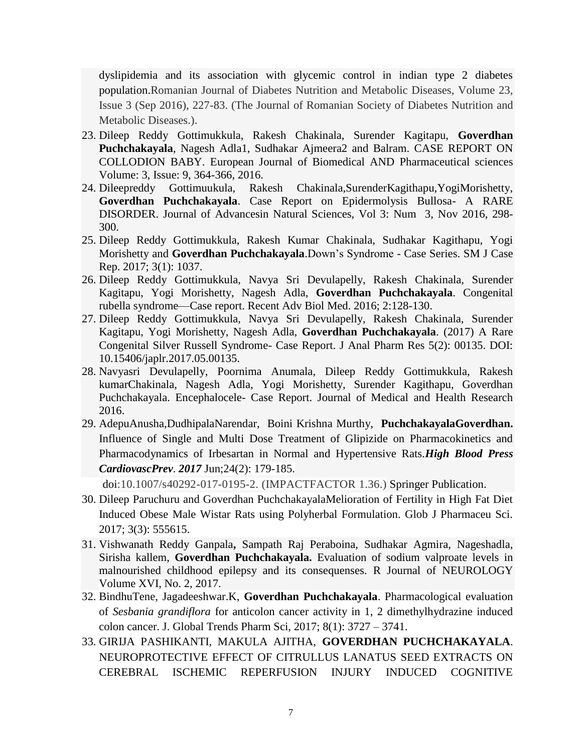dyslipidemia and its association with glycemic control in indian type 2 diabetes population.Romanian Journal of Diabetes Nutrition and Metabolic Diseases, Volume 23, Issue 3 (Sep 2016), 227-83. (The Journal of Romanian Society of Diabetes Nutrition and Metabolic Diseases.).

- 23. Dileep Reddy Gottimukkula, Rakesh Chakinala, Surender Kagitapu, **Goverdhan Puchchakayala**, Nagesh Adla1, Sudhakar Ajmeera2 and Balram. CASE REPORT ON COLLODION BABY. European Journal of Biomedical AND Pharmaceutical sciences Volume: 3, Issue: 9, 364-366, 2016.
- 24. Dileepreddy Gottimuukula, Rakesh Chakinala,SurenderKagithapu,YogiMorishetty, **Goverdhan Puchchakayala**. Case Report on Epidermolysis Bullosa- A RARE DISORDER. Journal of Advancesin Natural Sciences, Vol 3: Num 3, Nov 2016, 298- 300.
- 25. Dileep Reddy Gottimukkula, Rakesh Kumar Chakinala, Sudhakar Kagithapu, Yogi Morishetty and **Goverdhan Puchchakayala**.Down's Syndrome - Case Series. SM J Case Rep. 2017; 3(1): 1037.
- 26. Dileep Reddy Gottimukkula, Navya Sri Devulapelly, Rakesh Chakinala, Surender Kagitapu, Yogi Morishetty, Nagesh Adla, **Goverdhan Puchchakayala**. Congenital rubella syndrome—Case report. Recent Adv Biol Med. 2016; 2:128-130.
- 27. Dileep Reddy Gottimukkula, Navya Sri Devulapelly, Rakesh Chakinala, Surender Kagitapu, Yogi Morishetty, Nagesh Adla, **Goverdhan Puchchakayala**. (2017) A Rare Congenital Silver Russell Syndrome- Case Report. J Anal Pharm Res 5(2): 00135. DOI: 10.15406/japlr.2017.05.00135.
- 28. Navyasri Devulapelly, Poornima Anumala, Dileep Reddy Gottimukkula, Rakesh kumarChakinala, Nagesh Adla, Yogi Morishetty, Surender Kagithapu, Goverdhan Puchchakayala. Encephalocele- Case Report. Journal of Medical and Health Research 2016.
- 29. AdepuAnusha,DudhipalaNarendar, Boini Krishna Murthy, **PuchchakayalaGoverdhan.**  Influence of Single and Multi Dose Treatment of Glipizide on Pharmacokinetics and Pharmacodynamics of Irbesartan in Normal and Hypertensive Rats.*High Blood Press CardiovascPrev*. *2017* Jun;24(2): 179-185.

doi:10.1007/s40292-017-0195-2. (IMPACTFACTOR 1.36.) Springer Publication.

- 30. Dileep Paruchuru and Goverdhan PuchchakayalaMelioration of Fertility in High Fat Diet Induced Obese Male Wistar Rats using Polyherbal Formulation. Glob J Pharmaceu Sci. 2017; 3(3): 555615.
- 31. Vishwanath Reddy Ganpala**,** Sampath Raj Peraboina, Sudhakar Agmira, Nageshadla, Sirisha kallem, **Goverdhan Puchchakayala.** Evaluation of sodium valproate levels in malnourished childhood epilepsy and its consequenses. R Journal of NEUROLOGY Volume XVI, No. 2, 2017.
- 32. BindhuTene, Jagadeeshwar.K, **Goverdhan Puchchakayala**. Pharmacological evaluation of *Sesbania grandiflora* for anticolon cancer activity in 1, 2 dimethylhydrazine induced colon cancer. J. Global Trends Pharm Sci, 2017; 8(1): 3727 – 3741.
- 33. GIRIJA PASHIKANTI, MAKULA AJITHA, **GOVERDHAN PUCHCHAKAYALA**. NEUROPROTECTIVE EFFECT OF CITRULLUS LANATUS SEED EXTRACTS ON CEREBRAL ISCHEMIC REPERFUSION INJURY INDUCED COGNITIVE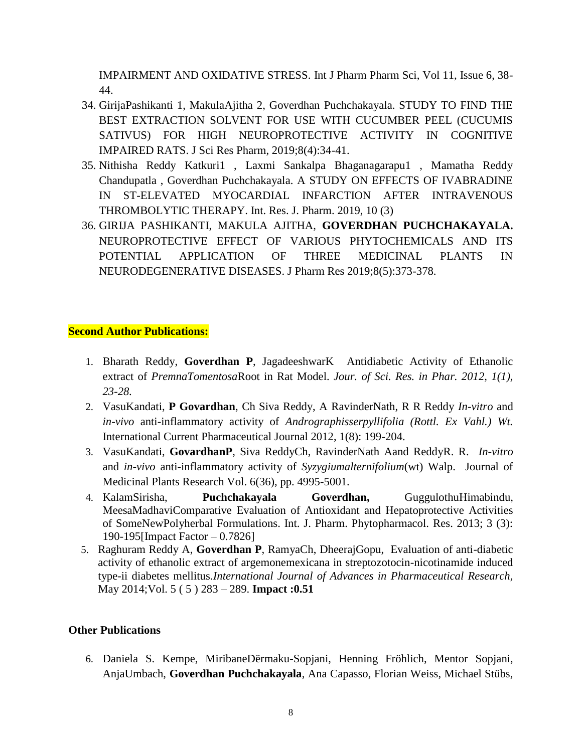IMPAIRMENT AND OXIDATIVE STRESS. Int J Pharm Pharm Sci, Vol 11, Issue 6, 38- 44.

- 34. GirijaPashikanti 1, MakulaAjitha 2, Goverdhan Puchchakayala. STUDY TO FIND THE BEST EXTRACTION SOLVENT FOR USE WITH CUCUMBER PEEL (CUCUMIS SATIVUS) FOR HIGH NEUROPROTECTIVE ACTIVITY IN COGNITIVE IMPAIRED RATS. J Sci Res Pharm, 2019;8(4):34-41.
- 35. Nithisha Reddy Katkuri1 , Laxmi Sankalpa Bhaganagarapu1 , Mamatha Reddy Chandupatla , Goverdhan Puchchakayala. A STUDY ON EFFECTS OF IVABRADINE IN ST-ELEVATED MYOCARDIAL INFARCTION AFTER INTRAVENOUS THROMBOLYTIC THERAPY. Int. Res. J. Pharm. 2019, 10 (3)
- 36. GIRIJA PASHIKANTI, MAKULA AJITHA, **GOVERDHAN PUCHCHAKAYALA.** NEUROPROTECTIVE EFFECT OF VARIOUS PHYTOCHEMICALS AND ITS POTENTIAL APPLICATION OF THREE MEDICINAL PLANTS IN NEURODEGENERATIVE DISEASES. J Pharm Res 2019;8(5):373-378.

## **Second Author Publications:**

- 1. Bharath Reddy, **Goverdhan P**, JagadeeshwarK Antidiabetic Activity of Ethanolic extract of *PremnaTomentosa*Root in Rat Model. *Jour. of Sci. Res. in Phar. 2012, 1(1), 23-28.*
- 2. VasuKandati, **P Govardhan**, Ch Siva Reddy, A RavinderNath, R R Reddy *In-vitro* and *in-vivo* anti-inflammatory activity of *Andrographisserpyllifolia (Rottl. Ex Vahl.) Wt.*  International Current Pharmaceutical Journal 2012, 1(8): 199-204.
- 3. VasuKandati, **GovardhanP**, Siva ReddyCh, RavinderNath Aand ReddyR. R. *In-vitro*  and *in-vivo* anti-inflammatory activity of *Syzygiumalternifolium*(wt) Walp. Journal of Medicinal Plants Research Vol. 6(36), pp. 4995-5001.
- 4. KalamSirisha, **Puchchakayala Goverdhan,** GuggulothuHimabindu, MeesaMadhaviComparative Evaluation of Antioxidant and Hepatoprotective Activities of SomeNewPolyherbal Formulations. Int. J. Pharm. Phytopharmacol. Res. 2013; 3 (3): 190-195[Impact Factor – 0.7826]
- 5. Raghuram Reddy A, **Goverdhan P**, RamyaCh, DheerajGopu, Evaluation of anti-diabetic activity of ethanolic extract of argemonemexicana in streptozotocin-nicotinamide induced type-ii diabetes mellitus.*International Journal of Advances in Pharmaceutical Research,*  May 2014;Vol. 5 ( 5 ) 283 – 289. **Impact :0.51**

## **Other Publications**

6. Daniela S. Kempe, MiribaneDërmaku-Sopjani, Henning Fröhlich, Mentor Sopjani, AnjaUmbach, **Goverdhan Puchchakayala**, Ana Capasso, Florian Weiss, Michael Stübs,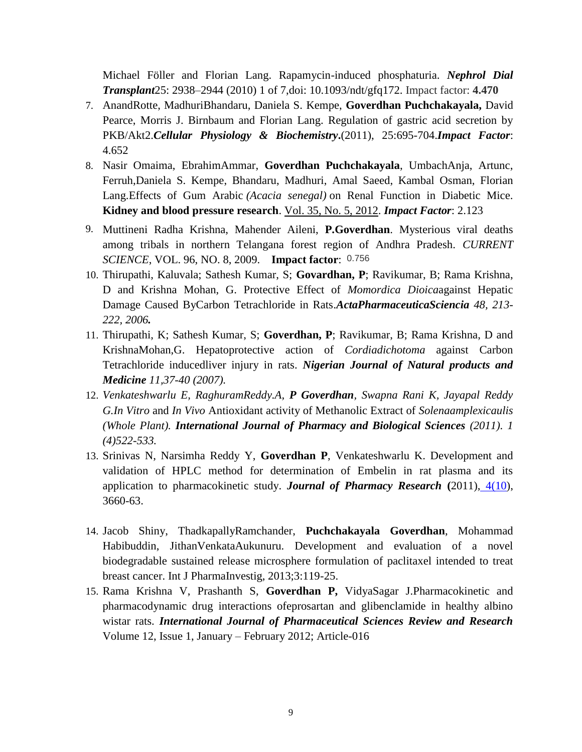Michael Föller and Florian Lang. Rapamycin-induced phosphaturia. *Nephrol Dial Transplant*25: 2938–2944 (2010) 1 of 7,doi: 10.1093/ndt/gfq172. Impact factor: **4.470**

- 7. AnandRotte, MadhuriBhandaru, Daniela S. Kempe, **Goverdhan Puchchakayala,** David Pearce, Morris J. Birnbaum and Florian Lang. Regulation of gastric acid secretion by PKB/Akt2.*Cellular Physiology & Biochemistry***.**(2011), 25:695-704.*Impact Factor*: 4.652
- 8. Nasir Omaima, EbrahimAmmar, **Goverdhan Puchchakayala**, UmbachAnja, Artunc, Ferruh,Daniela S. Kempe, Bhandaru, Madhuri, Amal Saeed, Kambal Osman, Florian Lang.Effects of Gum Arabic *(Acacia senegal)* on Renal Function in Diabetic Mice. **Kidney and blood pressure research**. Vol. 35, [No. 5,](http://content.karger.com/ProdukteDB/produkte.asp?Aktion=Ausgabe&Ausgabe=256876&ProduktNr=224258) 2012. *Impact Factor*: 2.123
- 9. Muttineni Radha Krishna, Mahender Aileni, **P.Goverdhan**. Mysterious viral deaths among tribals in northern Telangana forest region of Andhra Pradesh. *CURRENT SCIENCE*, VOL. 96, NO. 8, 2009. **Impact factor**: 0.756
- 10. Thirupathi, Kaluvala; Sathesh Kumar, S; **Govardhan, P**; Ravikumar, B; Rama Krishna, D and Krishna Mohan, G. Protective Effect of *Momordica Dioica*against Hepatic Damage Caused ByCarbon Tetrachloride in Rats.*ActaPharmaceuticaSciencia 48, 213- 222, 2006.*
- 11. Thirupathi, K; Sathesh Kumar, S; **Goverdhan, P**; Ravikumar, B; Rama Krishna, D and KrishnaMohan,G. Hepatoprotective action of *Cordiadichotoma* against Carbon Tetrachloride inducedliver injury in rats. *Nigerian Journal of Natural products and Medicine 11,37-40 (2007).*
- 12. *Venkateshwarlu E, RaghuramReddy.A, P Goverdhan, Swapna Rani K, Jayapal Reddy G.In Vitro* and *In Vivo* Antioxidant activity of Methanolic Extract of *Solenaamplexicaulis (Whole Plant). International Journal of Pharmacy and Biological Sciences (2011). 1 (4)522-533.*
- 13. Srinivas N, Narsimha Reddy Y, **Goverdhan P**, Venkateshwarlu K. Development and validation of HPLC method for determination of Embelin in rat plasma and its application to pharmacokinetic study. *Journal of Pharmacy Research* **(**2011), [4\(10\)](http://jpronline.info/issue/view/329), 3660-63.
- 14. Jacob Shiny, ThadkapallyRamchander, **Puchchakayala Goverdhan**, Mohammad Habibuddin, JithanVenkataAukunuru. Development and evaluation of a novel biodegradable sustained release microsphere formulation of paclitaxel intended to treat breast cancer. Int J PharmaInvestig, 2013;3:119-25.
- 15. Rama Krishna V, Prashanth S, **Goverdhan P,** VidyaSagar J.Pharmacokinetic and pharmacodynamic drug interactions ofeprosartan and glibenclamide in healthy albino wistar rats. *International Journal of Pharmaceutical Sciences Review and Research* Volume 12, Issue 1, January – February 2012; Article-016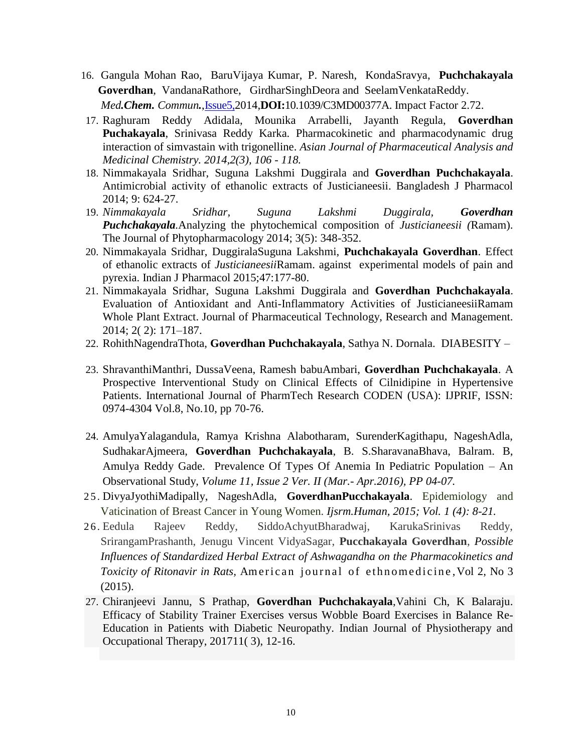- 16. [Gangula Mohan Rao,](http://pubs.rsc.org/en/results?searchtext=Author%3AGangula%20Mohan%20Rao) [BaruVijaya Kumar,](http://pubs.rsc.org/en/results?searchtext=Author%3ABaru%20Vijaya%20Kumar) [P. Naresh,](http://pubs.rsc.org/en/results?searchtext=Author%3AP.%20Naresh) [KondaSravya,](http://pubs.rsc.org/en/results?searchtext=Author%3AKonda%20Sravya) **[Puchchakayala](http://pubs.rsc.org/en/results?searchtext=Author%3APuchchakayala%20Goverdhan)  [Goverdhan](http://pubs.rsc.org/en/results?searchtext=Author%3APuchchakayala%20Goverdhan)**, [VandanaRathore,](http://pubs.rsc.org/en/results?searchtext=Author%3AVandana%20Rathore) [GirdharSinghDeora](http://pubs.rsc.org/en/results?searchtext=Author%3AGirdhar%20Singh%20Deora) and [SeelamVenkataReddy.](http://pubs.rsc.org/en/results?searchtext=Author%3ASeelam%20Venkata%20Reddy%20Reddy) *Med.Chem. Commun.*[,Issue5,2](http://pubs.rsc.org/en/journals/journal/md?issueid=md005005&type=current&issnprint=2040-2503)014,**DOI:**10.1039/C3MD00377A. Impact Factor 2.72.
- 17. Raghuram Reddy Adidala, Mounika Arrabelli, Jayanth Regula, **Goverdhan Puchakayala**, Srinivasa Reddy Karka. Pharmacokinetic and pharmacodynamic drug interaction of simvastain with trigonelline. *Asian Journal of Pharmaceutical Analysis and Medicinal Chemistry. 2014,2(3), 106 - 118.*
- 18. Nimmakayala Sridhar, Suguna Lakshmi Duggirala and **Goverdhan Puchchakayala**. Antimicrobial activity of ethanolic extracts of Justicianeesii. Bangladesh J Pharmacol 2014; 9: 624-27.
- 19. *Nimmakayala Sridhar, Suguna Lakshmi Duggirala, Goverdhan Puchchakayala.*Analyzing the phytochemical composition of *Justicianeesii (*Ramam). The Journal of Phytopharmacology 2014; 3(5): 348-352.
- 20. Nimmakayala Sridhar, DuggiralaSuguna Lakshmi, **Puchchakayala Goverdhan**. Effect of ethanolic extracts of *Justicianeesii*Ramam. against experimental models of pain and pyrexia. Indian J Pharmacol 2015;47:177-80.
- 21. Nimmakayala Sridhar, Suguna Lakshmi Duggirala and **Goverdhan Puchchakayala**. Evaluation of Antioxidant and Anti-Inflammatory Activities of JusticianeesiiRamam Whole Plant Extract. Journal of Pharmaceutical Technology, Research and Management. 2014; 2( 2): 171–187.
- 22. RohithNagendraThota, **Goverdhan Puchchakayala**, Sathya N. Dornala. DIABESITY –
- 23. ShravanthiManthri, DussaVeena, Ramesh babuAmbari, **Goverdhan Puchchakayala**. A Prospective Interventional Study on Clinical Effects of Cilnidipine in Hypertensive Patients. International Journal of PharmTech Research CODEN (USA): IJPRIF, ISSN: 0974-4304 Vol.8, No.10, pp 70-76.
- 24. AmulyaYalagandula, Ramya Krishna Alabotharam, SurenderKagithapu, NageshAdla, SudhakarAjmeera, **Goverdhan Puchchakayala**, B. S.SharavanaBhava, Balram. B, Amulya Reddy Gade. Prevalence Of Types Of Anemia In Pediatric Population – An Observational Study, *Volume 11, Issue 2 Ver. II (Mar.- Apr.2016), PP 04-07.*
- 25. DivyaJyothiMadipally, NageshAdla, **GoverdhanPucchakayala**. Epidemiology and Vaticination of Breast Cancer in Young Women. *Ijsrm.Human, 2015; Vol. 1 (4): 8-21.*
- 26. Eedula Rajeev Reddy, SiddoAchyutBharadwaj, KarukaSrinivas Reddy, SrirangamPrashanth, Jenugu Vincent VidyaSagar, **Pucchakayala Goverdhan**, *Possible Influences of Standardized Herbal Extract of Ashwagandha on the Pharmacokinetics and Toxicity of Ritonavir in Rats, American journal of ethnomedicine, Vol 2, No 3*  $(2015)$ .
- 27. Chiranjeevi Jannu, S Prathap, **Goverdhan Puchchakayala**,Vahini Ch, K Balaraju. Efficacy of Stability Trainer Exercises versus Wobble Board Exercises in Balance Re-Education in Patients with Diabetic Neuropathy. Indian Journal of Physiotherapy and Occupational Therapy, 201711( 3), 12-16.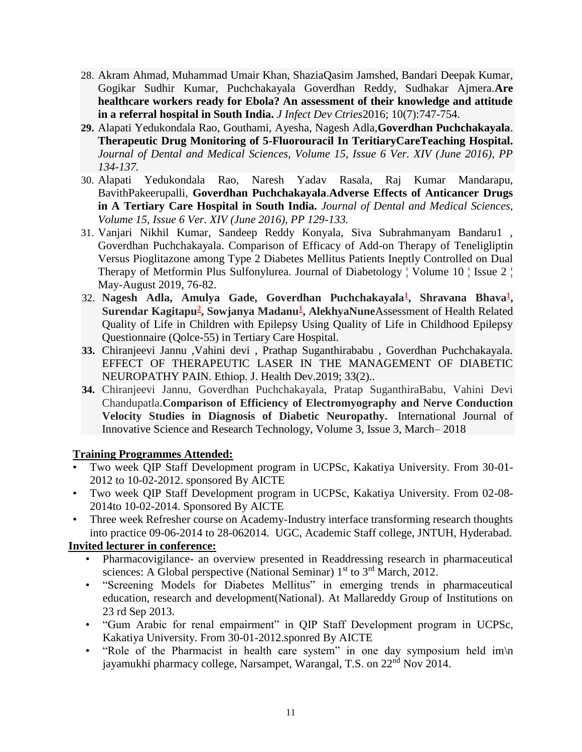- 28. Akram Ahmad, Muhammad Umair Khan, ShaziaQasim Jamshed, Bandari Deepak Kumar, Gogikar Sudhir Kumar, Puchchakayala Goverdhan Reddy, Sudhakar Ajmera.**Are healthcare workers ready for Ebola? An assessment of their knowledge and attitude in a referral hospital in South India.** *J Infect Dev Ctries*2016; 10(7):747-754.
- **29.** Alapati Yedukondala Rao, Gouthami, Ayesha, Nagesh Adla,**Goverdhan Puchchakayala**. **Therapeutic Drug Monitoring of 5-Fluorouracil In TeritiaryCareTeaching Hospital.**  *Journal of Dental and Medical Sciences, Volume 15, Issue 6 Ver. XIV (June 2016), PP 134-137.*
- 30. Alapati Yedukondala Rao, Naresh Yadav Rasala, Raj Kumar Mandarapu, BavithPakeerupalli, **Goverdhan Puchchakayala**.**Adverse Effects of Anticancer Drugs in A Tertiary Care Hospital in South India.** *Journal of Dental and Medical Sciences, Volume 15, Issue 6 Ver. XIV (June 2016), PP 129-133.*
- 31. Vanjari Nikhil Kumar, Sandeep Reddy Konyala, Siva Subrahmanyam Bandaru1 , Goverdhan Puchchakayala. Comparison of Efficacy of Add-on Therapy of Teneligliptin Versus Pioglitazone among Type 2 Diabetes Mellitus Patients Ineptly Controlled on Dual Therapy of Metformin Plus Sulfonylurea. Journal of Diabetology ¦ Volume 10 ¦ Issue 2 ¦ May-August 2019, 76-82.
- 32. **Nagesh Adla, Amulya Gade, Goverdhan Puchchakayala[1](https://www.jbclinpharm.org/articles/assessment-of-health-related-quality-of-life-in-children-with-epilepsy-using-quality-of-life-in-childhood-epilepsy-questionnaire-q.html#a1) , Shravana Bhava[1](https://www.jbclinpharm.org/articles/assessment-of-health-related-quality-of-life-in-children-with-epilepsy-using-quality-of-life-in-childhood-epilepsy-questionnaire-q.html#a1) , Surendar Kagitapu[2](https://www.jbclinpharm.org/articles/assessment-of-health-related-quality-of-life-in-children-with-epilepsy-using-quality-of-life-in-childhood-epilepsy-questionnaire-q.html#a2) , Sowjanya Madanu[1](https://www.jbclinpharm.org/articles/assessment-of-health-related-quality-of-life-in-children-with-epilepsy-using-quality-of-life-in-childhood-epilepsy-questionnaire-q.html#a1) , AlekhyaNune**Assessment of Health Related Quality of Life in Children with Epilepsy Using Quality of Life in Childhood Epilepsy Questionnaire (Qolce-55) in Tertiary Care Hospital.
- **33.** Chiranjeevi Jannu ,Vahini devi , Prathap Suganthirababu , Goverdhan Puchchakayala. EFFECT OF THERAPEUTIC LASER IN THE MANAGEMENT OF DIABETIC NEUROPATHY PAIN. Ethiop. J. Health Dev.2019; 33(2)..
- **34.** Chiranjeevi Jannu, Goverdhan Puchchakayala, Pratap SuganthiraBabu, Vahini Devi Chandupatla.**Comparison of Efficiency of Electromyography and Nerve Conduction Velocity Studies in Diagnosis of Diabetic Neuropathy.** International Journal of Innovative Science and Research Technology, Volume 3, Issue 3, March– 2018

## **Training Programmes Attended:**

- Two week QIP Staff Development program in UCPSc, Kakatiya University. From 30-01- 2012 to 10-02-2012. sponsored By AICTE
- Two week QIP Staff Development program in UCPSc, Kakatiya University. From 02-08- 2014to 10-02-2014. Sponsored By AICTE
- Three week Refresher course on Academy-Industry interface transforming research thoughts into practice 09-06-2014 to 28-062014. UGC, Academic Staff college, JNTUH, Hyderabad.

## **Invited lecturer in conference:**

- Pharmacovigilance- an overview presented in Readdressing research in pharmaceutical sciences: A Global perspective (National Seminar)  $1<sup>st</sup>$  to  $3<sup>rd</sup>$  March, 2012.
- "Screening Models for Diabetes Mellitus" in emerging trends in pharmaceutical education, research and development(National). At Mallareddy Group of Institutions on 23 rd Sep 2013.
- "Gum Arabic for renal empairment" in QIP Staff Development program in UCPSc, Kakatiya University. From 30-01-2012.sponred By AICTE
- "Role of the Pharmacist in health care system" in one day symposium held im\n jayamukhi pharmacy college, Narsampet, Warangal, T.S. on 22<sup>nd</sup> Nov 2014.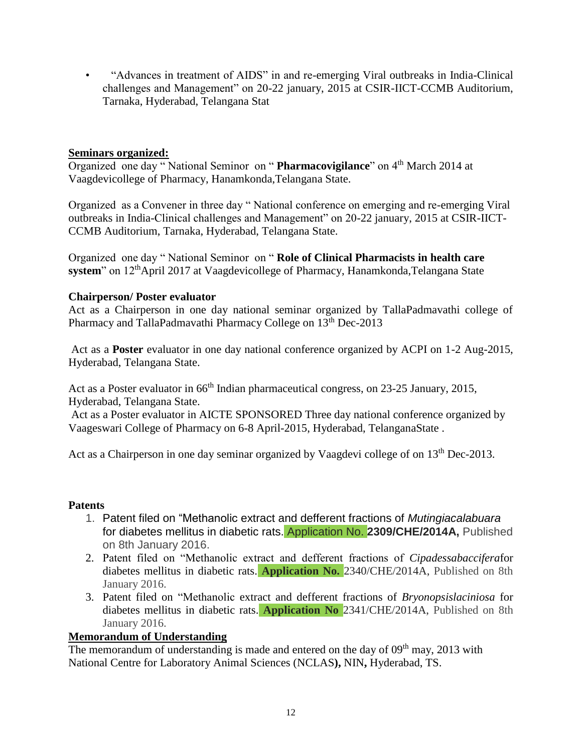• "Advances in treatment of AIDS" in and re-emerging Viral outbreaks in India-Clinical challenges and Management" on 20-22 january, 2015 at CSIR-IICT-CCMB Auditorium, Tarnaka, Hyderabad, Telangana Stat

## **Seminars organized:**

Organized one day " National Seminor on " **Pharmacovigilance**" on 4th March 2014 at Vaagdevicollege of Pharmacy, Hanamkonda,Telangana State.

Organized as a Convener in three day " National conference on emerging and re-emerging Viral outbreaks in India-Clinical challenges and Management" on 20-22 january, 2015 at CSIR-IICT-CCMB Auditorium, Tarnaka, Hyderabad, Telangana State.

Organized one day " National Seminor on " **Role of Clinical Pharmacists in health care system**" on 12<sup>th</sup>April 2017 at Vaagdevicollege of Pharmacy, Hanamkonda,Telangana State

## **Chairperson/ Poster evaluator**

Act as a Chairperson in one day national seminar organized by TallaPadmavathi college of Pharmacy and TallaPadmavathi Pharmacy College on 13<sup>th</sup> Dec-2013

Act as a **Poster** evaluator in one day national conference organized by ACPI on 1-2 Aug-2015, Hyderabad, Telangana State.

Act as a Poster evaluator in 66<sup>th</sup> Indian pharmaceutical congress, on 23-25 January, 2015, Hyderabad, Telangana State.

Act as a Poster evaluator in AICTE SPONSORED Three day national conference organized by Vaageswari College of Pharmacy on 6-8 April-2015, Hyderabad, TelanganaState .

Act as a Chairperson in one day seminar organized by Vaagdevi college of on 13<sup>th</sup> Dec-2013.

## **Patents**

- 1. Patent filed on "Methanolic extract and defferent fractions of *Mutingiacalabuara* for diabetes mellitus in diabetic rats. Application No. **2309/CHE/2014A,** Published on 8th January 2016.
- 2. Patent filed on "Methanolic extract and defferent fractions of *Cipadessabaccifera*for diabetes mellitus in diabetic rats. **Application No.** 2340/CHE/2014A, Published on 8th January 2016.
- 3. Patent filed on "Methanolic extract and defferent fractions of *Bryonopsislaciniosa* for diabetes mellitus in diabetic rats. **Application No** 2341/CHE/2014A, Published on 8th January 2016.

# **Memorandum of Understanding**

The memorandum of understanding is made and entered on the day of  $09<sup>th</sup>$  may, 2013 with National Centre for Laboratory Animal Sciences (NCLAS**),** NIN**,** Hyderabad, TS.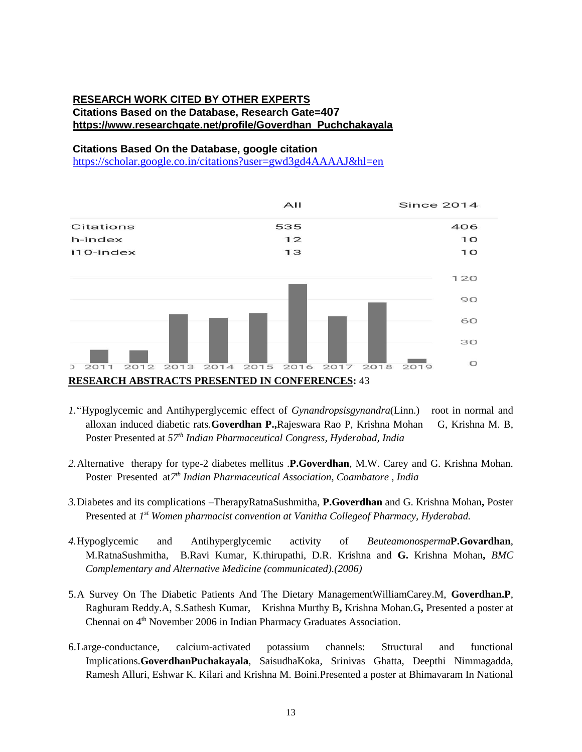## **RESEARCH WORK CITED BY OTHER EXPERTS Citations Based on the Database, Research Gate=407 https://www.researchgate.net/profile/Goverdhan\_Puchchakayala**

#### **Citations Based On the Database, google citation**

<https://scholar.google.co.in/citations?user=gwd3gd4AAAAJ&hl=en>



- *1.*"Hypoglycemic and Antihyperglycemic effect of *Gynandropsisgynandra*(Linn.) root in normal and alloxan induced diabetic rats*.***Goverdhan P.,**Rajeswara Rao P, Krishna Mohan G, Krishna M. B, Poster Presented at *57th Indian Pharmaceutical Congress, Hyderabad, India*
- *2.*Alternative therapy for type-2 diabetes mellitus .**P.Goverdhan**, M.W. Carey and G. Krishna Mohan. Poster Presented at*7 th Indian Pharmaceutical Association, Coambatore , India*
- *3.*Diabetes and its complications –TherapyRatnaSushmitha, **P.Goverdhan** and G. Krishna Mohan**,** Poster Presented at 1<sup>st</sup> Women pharmacist convention at Vanitha Collegeof Pharmacy, Hyderabad.
- *4.*Hypoglycemic and Antihyperglycemic activity of *Beuteamonosperma***P.Govardhan**, M.RatnaSushmitha, B.Ravi Kumar, K.thirupathi, D.R. Krishna and **G.** Krishna Mohan**,** *BMC Complementary and Alternative Medicine (communicated).(2006)*
- 5.A Survey On The Diabetic Patients And The Dietary ManagementWilliamCarey.M, **Goverdhan.P**, Raghuram Reddy.A, S.Sathesh Kumar, Krishna Murthy B**,** Krishna Mohan.G**,** Presented a poster at Chennai on 4<sup>th</sup> November 2006 in Indian Pharmacy Graduates Association.
- 6.Large-conductance, calcium-activated potassium channels: Structural and functional Implications.**GoverdhanPuchakayala**, SaisudhaKoka, Srinivas Ghatta, Deepthi Nimmagadda, Ramesh Alluri, Eshwar K. Kilari and Krishna M. Boini.Presented a poster at Bhimavaram In National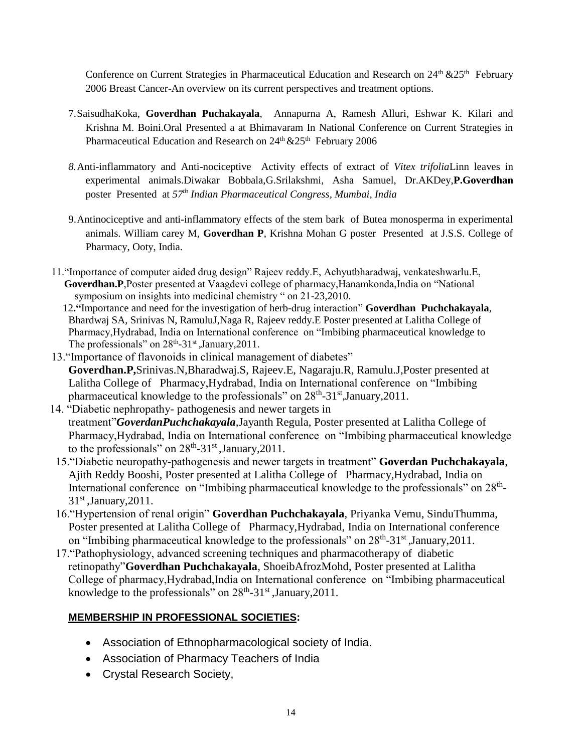Conference on Current Strategies in Pharmaceutical Education and Research on  $24<sup>th</sup>$  & $25<sup>th</sup>$  February 2006 Breast Cancer-An overview on its current perspectives and treatment options.

- 7.SaisudhaKoka, **Goverdhan Puchakayala**, Annapurna A, Ramesh Alluri, Eshwar K. Kilari and Krishna M. Boini.Oral Presented a at Bhimavaram In National Conference on Current Strategies in Pharmaceutical Education and Research on  $24<sup>th</sup> \& 25<sup>th</sup>$  February 2006
- *8.*Anti-inflammatory and Anti-nociceptive Activity effects of extract of *Vitex trifolia*Linn leaves in experimental animals.Diwakar Bobbala,G.Srilakshmi, Asha Samuel, Dr.AKDey,**P.Goverdhan** poster Presented at *57th Indian Pharmaceutical Congress, Mumbai, India*
- 9.Antinociceptive and anti-inflammatory effects of the stem bark of Butea monosperma in experimental animals. William carey M, **Goverdhan P**, Krishna Mohan G poster Presented at J.S.S. College of Pharmacy, Ooty, India.
- 11."Importance of computer aided drug design" Rajeev reddy.E, Achyutbharadwaj, venkateshwarlu.E, **Goverdhan.P**,Poster presented at Vaagdevi college of pharmacy,Hanamkonda,India on "National symposium on insights into medicinal chemistry " on 21-23,2010.
	- 12**."**Importance and need for the investigation of herb-drug interaction" **Goverdhan Puchchakayala**, Bhardwaj SA, Srinivas N, RamuluJ,Naga R, Rajeev reddy.E Poster presented at Lalitha College of Pharmacy,Hydrabad, India on International conference on "Imbibing pharmaceutical knowledge to The professionals" on  $28<sup>th</sup> - 31<sup>st</sup>$ , January, 2011.
- 13."Importance of flavonoids in clinical management of diabetes" **Goverdhan.P,**Srinivas.N,Bharadwaj.S, Rajeev.E, Nagaraju.R, Ramulu.J,Poster presented at Lalitha College of Pharmacy,Hydrabad, India on International conference on "Imbibing pharmaceutical knowledge to the professionals" on 28<sup>th</sup>-31<sup>st</sup>,January,2011.
- 14. "Diabetic nephropathy- pathogenesis and newer targets in treatment"*GoverdanPuchchakayala,*Jayanth Regula, Poster presented at Lalitha College of Pharmacy,Hydrabad, India on International conference on "Imbibing pharmaceutical knowledge to the professionals" on  $28<sup>th</sup> - 31<sup>st</sup>$ , January, 2011.
- 15."Diabetic neuropathy-pathogenesis and newer targets in treatment" **Goverdan Puchchakayala**, Ajith Reddy Booshi, Poster presented at Lalitha College of Pharmacy,Hydrabad, India on International conference on "Imbibing pharmaceutical knowledge to the professionals" on  $28<sup>th</sup>$ - $31<sup>st</sup>$ , January, 2011.
- 16."Hypertension of renal origin" **Goverdhan Puchchakayala**, Priyanka Vemu, SinduThumma, Poster presented at Lalitha College of Pharmacy,Hydrabad, India on International conference on "Imbibing pharmaceutical knowledge to the professionals" on  $28<sup>th</sup> - 31<sup>st</sup>$ , January, 2011.
- 17."Pathophysiology, advanced screening techniques and pharmacotherapy of diabetic retinopathy"**Goverdhan Puchchakayala**, ShoeibAfrozMohd, Poster presented at Lalitha College of pharmacy,Hydrabad,India on International conference on "Imbibing pharmaceutical knowledge to the professionals" on 28<sup>th</sup>-31<sup>st</sup>, January, 2011.

# **MEMBERSHIP IN PROFESSIONAL SOCIETIES:**

- Association of Ethnopharmacological society of India.
- Association of Pharmacy Teachers of India
- Crystal Research Society,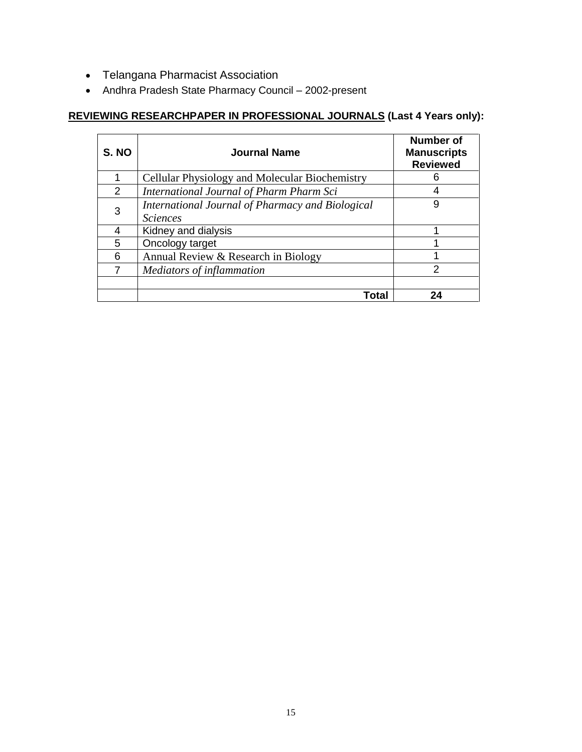- Telangana Pharmacist Association
- Andhra Pradesh State Pharmacy Council 2002-present

# **REVIEWING RESEARCHPAPER IN PROFESSIONAL JOURNALS (Last 4 Years only):**

| S. NO         | Journal Name                                                        | <b>Number of</b><br><b>Manuscripts</b><br><b>Reviewed</b> |
|---------------|---------------------------------------------------------------------|-----------------------------------------------------------|
|               | Cellular Physiology and Molecular Biochemistry                      | 6                                                         |
| $\mathcal{P}$ | International Journal of Pharm Pharm Sci                            | 4                                                         |
| 3             | International Journal of Pharmacy and Biological<br><b>Sciences</b> | 9                                                         |
| 4             | Kidney and dialysis                                                 |                                                           |
| 5             | Oncology target                                                     |                                                           |
| 6             | Annual Review & Research in Biology                                 |                                                           |
|               | Mediators of inflammation                                           | 2                                                         |
|               | Total                                                               | 24                                                        |